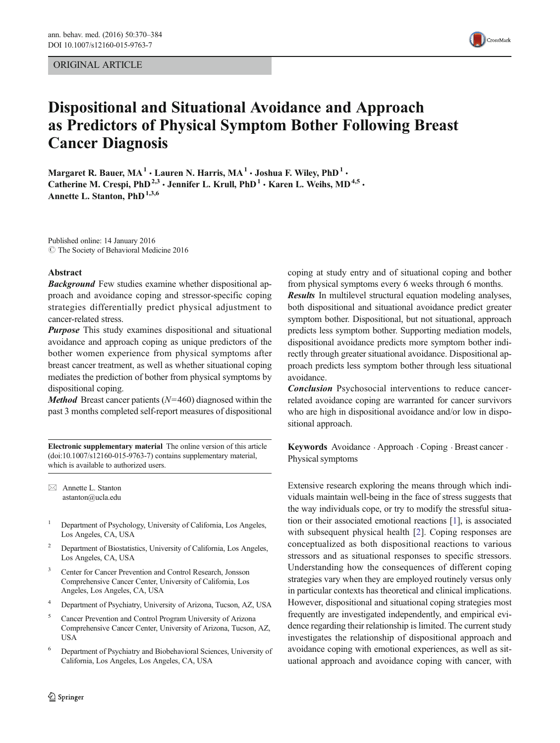ORIGINAL ARTICLE

# CrossMark

# Dispositional and Situational Avoidance and Approach as Predictors of Physical Symptom Bother Following Breast Cancer Diagnosis

Margaret R. Bauer,  $MA<sup>1</sup> \cdot$  Lauren N. Harris,  $MA<sup>1</sup> \cdot$  Joshua F. Wiley, PhD<sup>1</sup> $\cdot$ Catherine M. Crespi, PhD<sup>2,3</sup>  $\cdot$  Jennifer L. Krull, PhD<sup>1</sup>  $\cdot$  Karen L. Weihs, MD<sup>4,5</sup>  $\cdot$ Annette L. Stanton,  $PhD<sup>1,3,6</sup>$ 

Published online: 14 January 2016  $\odot$  The Society of Behavioral Medicine 2016

## Abstract

**Background** Few studies examine whether dispositional approach and avoidance coping and stressor-specific coping strategies differentially predict physical adjustment to cancer-related stress.

Purpose This study examines dispositional and situational avoidance and approach coping as unique predictors of the bother women experience from physical symptoms after breast cancer treatment, as well as whether situational coping mediates the prediction of bother from physical symptoms by dispositional coping.

**Method** Breast cancer patients  $(N=460)$  diagnosed within the past 3 months completed self-report measures of dispositional

Electronic supplementary material The online version of this article (doi[:10.1007/s12160-015-9763-7](http://dx.doi.org/10.1007/s12160-015-9763-7)) contains supplementary material, which is available to authorized users.

 $\boxtimes$  Annette L. Stanton astanton@ucla.edu

- <sup>1</sup> Department of Psychology, University of California, Los Angeles, Los Angeles, CA, USA
- <sup>2</sup> Department of Biostatistics, University of California, Los Angeles, Los Angeles, CA, USA
- <sup>3</sup> Center for Cancer Prevention and Control Research, Jonsson Comprehensive Cancer Center, University of California, Los Angeles, Los Angeles, CA, USA
- <sup>4</sup> Department of Psychiatry, University of Arizona, Tucson, AZ, USA
- <sup>5</sup> Cancer Prevention and Control Program University of Arizona Comprehensive Cancer Center, University of Arizona, Tucson, AZ, USA
- <sup>6</sup> Department of Psychiatry and Biobehavioral Sciences, University of California, Los Angeles, Los Angeles, CA, USA

Results In multilevel structural equation modeling analyses, both dispositional and situational avoidance predict greater symptom bother. Dispositional, but not situational, approach predicts less symptom bother. Supporting mediation models, dispositional avoidance predicts more symptom bother indirectly through greater situational avoidance. Dispositional approach predicts less symptom bother through less situational avoidance. Conclusion Psychosocial interventions to reduce cancerrelated avoidance coping are warranted for cancer survivors who are high in dispositional avoidance and/or low in dispo-

sitional approach.

coping at study entry and of situational coping and bother from physical symptoms every 6 weeks through 6 months.

Keywords Avoidance . Approach . Coping . Breast cancer . Physical symptoms

Extensive research exploring the means through which individuals maintain well-being in the face of stress suggests that the way individuals cope, or try to modify the stressful situation or their associated emotional reactions [[1](#page-13-0)], is associated with subsequent physical health [[2\]](#page-13-0). Coping responses are conceptualized as both dispositional reactions to various stressors and as situational responses to specific stressors. Understanding how the consequences of different coping strategies vary when they are employed routinely versus only in particular contexts has theoretical and clinical implications. However, dispositional and situational coping strategies most frequently are investigated independently, and empirical evidence regarding their relationship is limited. The current study investigates the relationship of dispositional approach and avoidance coping with emotional experiences, as well as situational approach and avoidance coping with cancer, with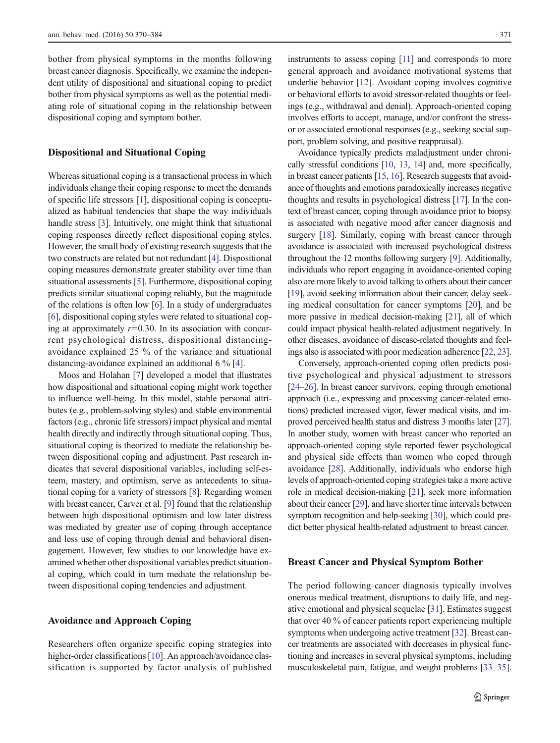bother from physical symptoms in the months following breast cancer diagnosis. Specifically, we examine the independent utility of dispositional and situational coping to predict bother from physical symptoms as well as the potential mediating role of situational coping in the relationship between dispositional coping and symptom bother.

## Dispositional and Situational Coping

Whereas situational coping is a transactional process in which individuals change their coping response to meet the demands of specific life stressors [\[1\]](#page-13-0), dispositional coping is conceptualized as habitual tendencies that shape the way individuals handle stress [\[3](#page-13-0)]. Intuitively, one might think that situational coping responses directly reflect dispositional coping styles. However, the small body of existing research suggests that the two constructs are related but not redundant [[4\]](#page-13-0). Dispositional coping measures demonstrate greater stability over time than situational assessments [\[5](#page-13-0)]. Furthermore, dispositional coping predicts similar situational coping reliably, but the magnitude of the relations is often low [\[6](#page-13-0)]. In a study of undergraduates [\[6\]](#page-13-0), dispositional coping styles were related to situational coping at approximately  $r=0.30$ . In its association with concurrent psychological distress, dispositional distancingavoidance explained 25 % of the variance and situational distancing-avoidance explained an additional 6 % [[4](#page-13-0)].

Moos and Holahan [[7\]](#page-13-0) developed a model that illustrates how dispositional and situational coping might work together to influence well-being. In this model, stable personal attributes (e.g., problem-solving styles) and stable environmental factors (e.g., chronic life stressors) impact physical and mental health directly and indirectly through situational coping. Thus, situational coping is theorized to mediate the relationship between dispositional coping and adjustment. Past research indicates that several dispositional variables, including self-esteem, mastery, and optimism, serve as antecedents to situational coping for a variety of stressors [\[8](#page-13-0)]. Regarding women with breast cancer, Carver et al. [[9](#page-13-0)] found that the relationship between high dispositional optimism and low later distress was mediated by greater use of coping through acceptance and less use of coping through denial and behavioral disengagement. However, few studies to our knowledge have examined whether other dispositional variables predict situational coping, which could in turn mediate the relationship between dispositional coping tendencies and adjustment.

# Avoidance and Approach Coping

Researchers often organize specific coping strategies into higher-order classifications [\[10](#page-13-0)]. An approach/avoidance classification is supported by factor analysis of published

instruments to assess coping [[11](#page-13-0)] and corresponds to more general approach and avoidance motivational systems that underlie behavior [[12](#page-13-0)]. Avoidant coping involves cognitive or behavioral efforts to avoid stressor-related thoughts or feelings (e.g., withdrawal and denial). Approach-oriented coping involves efforts to accept, manage, and/or confront the stressor or associated emotional responses (e.g., seeking social support, problem solving, and positive reappraisal).

Avoidance typically predicts maladjustment under chronically stressful conditions [\[10,](#page-13-0) [13](#page-13-0), [14\]](#page-13-0) and, more specifically, in breast cancer patients [\[15,](#page-13-0) [16](#page-13-0)]. Research suggests that avoidance of thoughts and emotions paradoxically increases negative thoughts and results in psychological distress [[17](#page-13-0)]. In the context of breast cancer, coping through avoidance prior to biopsy is associated with negative mood after cancer diagnosis and surgery [[18\]](#page-13-0). Similarly, coping with breast cancer through avoidance is associated with increased psychological distress throughout the 12 months following surgery [[9](#page-13-0)]. Additionally, individuals who report engaging in avoidance-oriented coping also are more likely to avoid talking to others about their cancer [\[19\]](#page-13-0), avoid seeking information about their cancer, delay seeking medical consultation for cancer symptoms [\[20\]](#page-13-0), and be more passive in medical decision-making [\[21\]](#page-13-0), all of which could impact physical health-related adjustment negatively. In other diseases, avoidance of disease-related thoughts and feelings also is associated with poor medication adherence [\[22,](#page-13-0) [23\]](#page-13-0).

Conversely, approach-oriented coping often predicts positive psychological and physical adjustment to stressors [\[24](#page-13-0)–[26](#page-13-0)]. In breast cancer survivors, coping through emotional approach (i.e., expressing and processing cancer-related emotions) predicted increased vigor, fewer medical visits, and improved perceived health status and distress 3 months later [\[27\]](#page-13-0). In another study, women with breast cancer who reported an approach-oriented coping style reported fewer psychological and physical side effects than women who coped through avoidance [\[28](#page-13-0)]. Additionally, individuals who endorse high levels of approach-oriented coping strategies take a more active role in medical decision-making [[21](#page-13-0)], seek more information about their cancer [\[29\]](#page-13-0), and have shorter time intervals between symptom recognition and help-seeking [\[30\]](#page-13-0), which could predict better physical health-related adjustment to breast cancer.

## Breast Cancer and Physical Symptom Bother

The period following cancer diagnosis typically involves onerous medical treatment, disruptions to daily life, and negative emotional and physical sequelae [[31](#page-13-0)]. Estimates suggest that over 40 % of cancer patients report experiencing multiple symptoms when undergoing active treatment [[32](#page-13-0)]. Breast cancer treatments are associated with decreases in physical functioning and increases in several physical symptoms, including musculoskeletal pain, fatigue, and weight problems [\[33](#page-13-0)–[35\]](#page-13-0).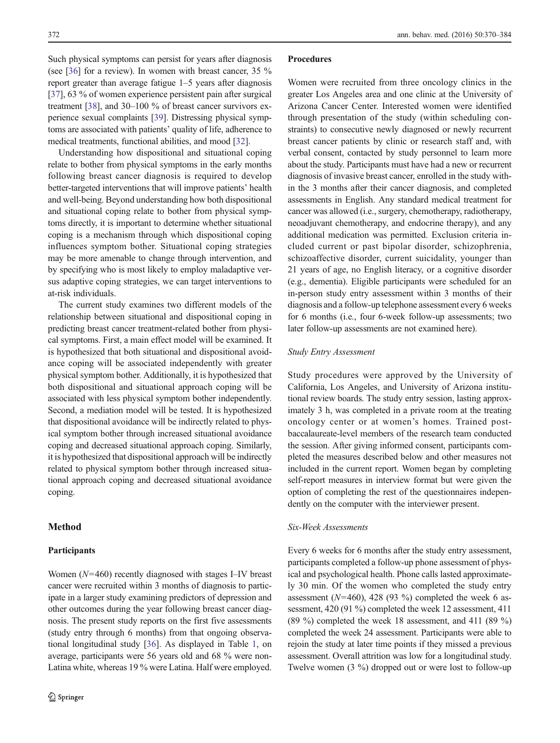Such physical symptoms can persist for years after diagnosis (see [\[36\]](#page-13-0) for a review). In women with breast cancer, 35 % report greater than average fatigue 1–5 years after diagnosis [\[37\]](#page-13-0), 63 % of women experience persistent pain after surgical treatment [\[38](#page-13-0)], and 30–100 % of breast cancer survivors experience sexual complaints [[39\]](#page-13-0). Distressing physical symptoms are associated with patients' quality of life, adherence to medical treatments, functional abilities, and mood [\[32\]](#page-13-0).

Understanding how dispositional and situational coping relate to bother from physical symptoms in the early months following breast cancer diagnosis is required to develop better-targeted interventions that will improve patients' health and well-being. Beyond understanding how both dispositional and situational coping relate to bother from physical symptoms directly, it is important to determine whether situational coping is a mechanism through which dispositional coping influences symptom bother. Situational coping strategies may be more amenable to change through intervention, and by specifying who is most likely to employ maladaptive versus adaptive coping strategies, we can target interventions to at-risk individuals.

The current study examines two different models of the relationship between situational and dispositional coping in predicting breast cancer treatment-related bother from physical symptoms. First, a main effect model will be examined. It is hypothesized that both situational and dispositional avoidance coping will be associated independently with greater physical symptom bother. Additionally, it is hypothesized that both dispositional and situational approach coping will be associated with less physical symptom bother independently. Second, a mediation model will be tested. It is hypothesized that dispositional avoidance will be indirectly related to physical symptom bother through increased situational avoidance coping and decreased situational approach coping. Similarly, it is hypothesized that dispositional approach will be indirectly related to physical symptom bother through increased situational approach coping and decreased situational avoidance coping.

# Method

## **Participants**

Women ( $N=460$ ) recently diagnosed with stages I–IV breast cancer were recruited within 3 months of diagnosis to participate in a larger study examining predictors of depression and other outcomes during the year following breast cancer diagnosis. The present study reports on the first five assessments (study entry through 6 months) from that ongoing observational longitudinal study [\[36](#page-13-0)]. As displayed in Table [1,](#page-3-0) on average, participants were 56 years old and 68 % were non-Latina white, whereas 19 % were Latina. Half were employed.

## Procedures

Women were recruited from three oncology clinics in the greater Los Angeles area and one clinic at the University of Arizona Cancer Center. Interested women were identified through presentation of the study (within scheduling constraints) to consecutive newly diagnosed or newly recurrent breast cancer patients by clinic or research staff and, with verbal consent, contacted by study personnel to learn more about the study. Participants must have had a new or recurrent diagnosis of invasive breast cancer, enrolled in the study within the 3 months after their cancer diagnosis, and completed assessments in English. Any standard medical treatment for cancer was allowed (i.e., surgery, chemotherapy, radiotherapy, neoadjuvant chemotherapy, and endocrine therapy), and any additional medication was permitted. Exclusion criteria included current or past bipolar disorder, schizophrenia, schizoaffective disorder, current suicidality, younger than 21 years of age, no English literacy, or a cognitive disorder (e.g., dementia). Eligible participants were scheduled for an in-person study entry assessment within 3 months of their diagnosis and a follow-up telephone assessment every 6 weeks for 6 months (i.e., four 6-week follow-up assessments; two later follow-up assessments are not examined here).

# Study Entry Assessment

Study procedures were approved by the University of California, Los Angeles, and University of Arizona institutional review boards. The study entry session, lasting approximately 3 h, was completed in a private room at the treating oncology center or at women's homes. Trained postbaccalaureate-level members of the research team conducted the session. After giving informed consent, participants completed the measures described below and other measures not included in the current report. Women began by completing self-report measures in interview format but were given the option of completing the rest of the questionnaires independently on the computer with the interviewer present.

## Six-Week Assessments

Every 6 weeks for 6 months after the study entry assessment, participants completed a follow-up phone assessment of physical and psychological health. Phone calls lasted approximately 30 min. Of the women who completed the study entry assessment ( $N=460$ ), 428 (93 %) completed the week 6 assessment, 420 (91 %) completed the week 12 assessment, 411 (89 %) completed the week 18 assessment, and 411 (89 %) completed the week 24 assessment. Participants were able to rejoin the study at later time points if they missed a previous assessment. Overall attrition was low for a longitudinal study. Twelve women (3 %) dropped out or were lost to follow-up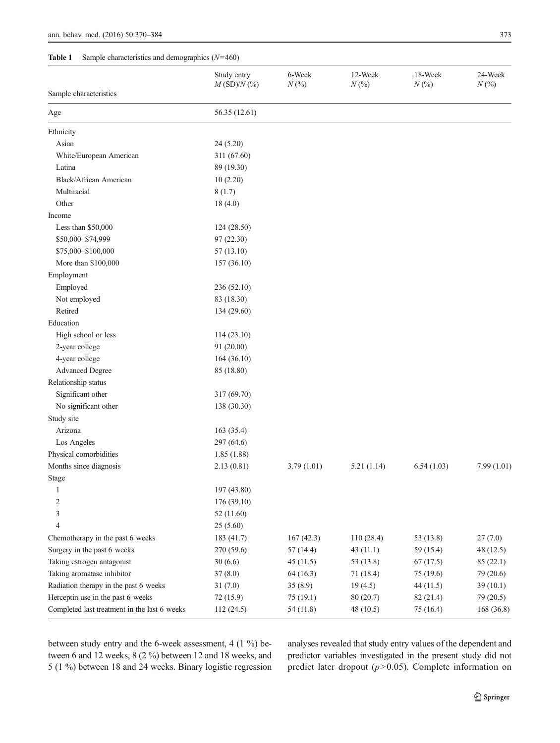# <span id="page-3-0"></span>**Table 1** Sample characteristics and demographics  $(N=460)$

|                                              | Study entry<br>$M(SD)/N$ (%) | 6-Week<br>$N(\%)$ | 12-Week<br>N(% | 18-Week<br>N(% | 24-Week<br>$N(\%)$ |
|----------------------------------------------|------------------------------|-------------------|----------------|----------------|--------------------|
| Sample characteristics                       |                              |                   |                |                |                    |
| Age                                          | 56.35 (12.61)                |                   |                |                |                    |
| Ethnicity                                    |                              |                   |                |                |                    |
| Asian                                        | 24 (5.20)                    |                   |                |                |                    |
| White/European American                      | 311 (67.60)                  |                   |                |                |                    |
| Latina                                       | 89 (19.30)                   |                   |                |                |                    |
| Black/African American                       | 10(2.20)                     |                   |                |                |                    |
| Multiracial                                  | 8(1.7)                       |                   |                |                |                    |
| Other                                        | 18(4.0)                      |                   |                |                |                    |
| Income                                       |                              |                   |                |                |                    |
| Less than \$50,000                           | 124 (28.50)                  |                   |                |                |                    |
| \$50,000-\$74,999                            | 97 (22.30)                   |                   |                |                |                    |
| \$75,000-\$100,000                           | 57(13.10)                    |                   |                |                |                    |
| More than \$100,000                          | 157(36.10)                   |                   |                |                |                    |
| Employment                                   |                              |                   |                |                |                    |
| Employed                                     | 236 (52.10)                  |                   |                |                |                    |
| Not employed                                 | 83 (18.30)                   |                   |                |                |                    |
| Retired                                      | 134 (29.60)                  |                   |                |                |                    |
| Education                                    |                              |                   |                |                |                    |
| High school or less                          | 114(23.10)                   |                   |                |                |                    |
| 2-year college                               | 91 (20.00)                   |                   |                |                |                    |
| 4-year college                               | 164(36.10)                   |                   |                |                |                    |
| <b>Advanced Degree</b>                       | 85 (18.80)                   |                   |                |                |                    |
| Relationship status                          |                              |                   |                |                |                    |
| Significant other                            | 317 (69.70)                  |                   |                |                |                    |
| No significant other                         | 138 (30.30)                  |                   |                |                |                    |
| Study site                                   |                              |                   |                |                |                    |
| Arizona                                      | 163(35.4)                    |                   |                |                |                    |
| Los Angeles                                  | 297 (64.6)                   |                   |                |                |                    |
| Physical comorbidities                       | 1.85(1.88)                   |                   |                |                |                    |
| Months since diagnosis                       | 2.13(0.81)                   | 3.79(1.01)        | 5.21(1.14)     | 6.54(1.03)     | 7.99(1.01)         |
| Stage                                        |                              |                   |                |                |                    |
| 1                                            | 197 (43.80)                  |                   |                |                |                    |
| 2                                            | 176 (39.10)                  |                   |                |                |                    |
| 3                                            | 52 (11.60)                   |                   |                |                |                    |
| 4                                            | 25(5.60)                     |                   |                |                |                    |
| Chemotherapy in the past 6 weeks             | 183 (41.7)                   | 167(42.3)         | 110 (28.4)     | 53 (13.8)      | 27(7.0)            |
| Surgery in the past 6 weeks                  | 270 (59.6)                   | 57(14.4)          | 43(11.1)       | 59 (15.4)      | 48 (12.5)          |
| Taking estrogen antagonist                   | 30(6.6)                      | 45(11.5)          | 53(13.8)       | 67(17.5)       | 85(22.1)           |
| Taking aromatase inhibitor                   | 37(8.0)                      | 64(16.3)          | 71 (18.4)      | 75 (19.6)      | 79 (20.6)          |
| Radiation therapy in the past 6 weeks        | 31(7.0)                      | 35(8.9)           | 19(4.5)        | 44 (11.5)      | 39(10.1)           |
| Herceptin use in the past 6 weeks            | 72 (15.9)                    | 75 (19.1)         | 80 (20.7)      | 82 (21.4)      | 79 (20.5)          |
| Completed last treatment in the last 6 weeks | 112(24.5)                    | 54 (11.8)         | 48 (10.5)      | 75 (16.4)      | 168 (36.8)         |

between study entry and the 6-week assessment, 4 (1 %) between 6 and 12 weeks, 8 (2 %) between 12 and 18 weeks, and 5 (1 %) between 18 and 24 weeks. Binary logistic regression analyses revealed that study entry values of the dependent and predictor variables investigated in the present study did not predict later dropout  $(p>0.05)$ . Complete information on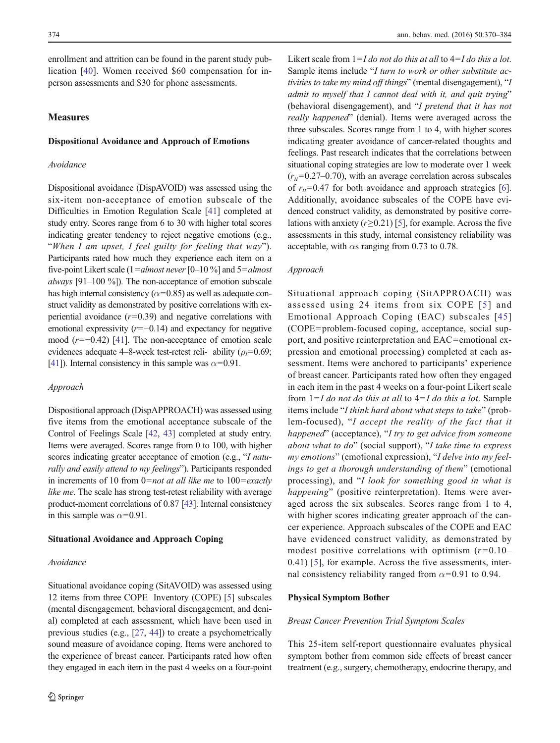enrollment and attrition can be found in the parent study publication [[40](#page-13-0)]. Women received \$60 compensation for inperson assessments and \$30 for phone assessments.

## **Measures**

## Dispositional Avoidance and Approach of Emotions

# Avoidance

Dispositional avoidance (DispAVOID) was assessed using the six-item non-acceptance of emotion subscale of the Difficulties in Emotion Regulation Scale [\[41](#page-13-0)] completed at study entry. Scores range from 6 to 30 with higher total scores indicating greater tendency to reject negative emotions (e.g., "When I am upset, I feel guilty for feeling that way"). Participants rated how much they experience each item on a five-point Likert scale  $(1=almost never [0-10 \%]$  and  $5=almost$ always [91–100 %]). The non-acceptance of emotion subscale has high internal consistency ( $\alpha$ =0.85) as well as adequate construct validity as demonstrated by positive correlations with experiential avoidance  $(r=0.39)$  and negative correlations with emotional expressivity  $(r=-0.14)$  and expectancy for negative mood (r=−0.42) [\[41\]](#page-13-0). The non-acceptance of emotion scale evidences adequate 4–8-week test-retest reli- ability ( $\rho_I$ =0.69; [\[41](#page-13-0)]). Internal consistency in this sample was  $\alpha$ =0.91.

## Approach

Dispositional approach (DispAPPROACH) was assessed using five items from the emotional acceptance subscale of the Control of Feelings Scale [\[42,](#page-13-0) [43](#page-13-0)] completed at study entry. Items were averaged. Scores range from 0 to 100, with higher scores indicating greater acceptance of emotion (e.g., "I naturally and easily attend to my feelings"). Participants responded in increments of 10 from  $0$ =not at all like me to  $100$ =exactly like me. The scale has strong test-retest reliability with average product-moment correlations of 0.87 [\[43\]](#page-13-0). Internal consistency in this sample was  $\alpha$ =0.91.

## Situational Avoidance and Approach Coping

## Avoidance

Situational avoidance coping (SitAVOID) was assessed using 12 items from three COPE Inventory (COPE) [\[5](#page-13-0)] subscales (mental disengagement, behavioral disengagement, and denial) completed at each assessment, which have been used in previous studies (e.g., [\[27](#page-13-0), [44\]](#page-14-0)) to create a psychometrically sound measure of avoidance coping. Items were anchored to the experience of breast cancer. Participants rated how often they engaged in each item in the past 4 weeks on a four-point Likert scale from  $1 = Ido$  not do this at all to  $4 = Ido$  this a lot. Sample items include "I turn to work or other substitute activities to take my mind off things" (mental disengagement), "I admit to myself that I cannot deal with it, and quit trying" (behavioral disengagement), and "I pretend that it has not really happened" (denial). Items were averaged across the three subscales. Scores range from 1 to 4, with higher scores indicating greater avoidance of cancer-related thoughts and feelings. Past research indicates that the correlations between situational coping strategies are low to moderate over 1 week  $(r<sub>tt</sub>=0.27-0.70)$ , with an average correlation across subscales of  $r_{tt}$ =0.47 for both avoidance and approach strategies [[6\]](#page-13-0). Additionally, avoidance subscales of the COPE have evidenced construct validity, as demonstrated by positive correlations with anxiety ( $r \ge 0.21$ ) [\[5](#page-13-0)], for example. Across the five assessments in this study, internal consistency reliability was acceptable, with  $\alpha$ s ranging from 0.73 to 0.78.

# Approach

Situational approach coping (SitAPPROACH) was assessed using 24 items from six COPE [[5](#page-13-0)] and Emotional Approach Coping (EAC) subscales [[45](#page-14-0)] (COPE=problem-focused coping, acceptance, social support, and positive reinterpretation and EAC=emotional expression and emotional processing) completed at each assessment. Items were anchored to participants' experience of breast cancer. Participants rated how often they engaged in each item in the past 4 weeks on a four-point Likert scale from  $1=I$  do not do this at all to  $4=I$  do this a lot. Sample items include "I think hard about what steps to take" (problem-focused), "I accept the reality of the fact that it happened" (acceptance), "I try to get advice from someone about what to do" (social support), "I take time to express my emotions" (emotional expression), "I delve into my feelings to get a thorough understanding of them" (emotional processing), and "I look for something good in what is happening" (positive reinterpretation). Items were averaged across the six subscales. Scores range from 1 to 4, with higher scores indicating greater approach of the cancer experience. Approach subscales of the COPE and EAC have evidenced construct validity, as demonstrated by modest positive correlations with optimism  $(r=0.10-$ 0.41) [[5\]](#page-13-0), for example. Across the five assessments, internal consistency reliability ranged from  $\alpha$ =0.91 to 0.94.

#### Physical Symptom Bother

#### Breast Cancer Prevention Trial Symptom Scales

This 25-item self-report questionnaire evaluates physical symptom bother from common side effects of breast cancer treatment (e.g., surgery, chemotherapy, endocrine therapy, and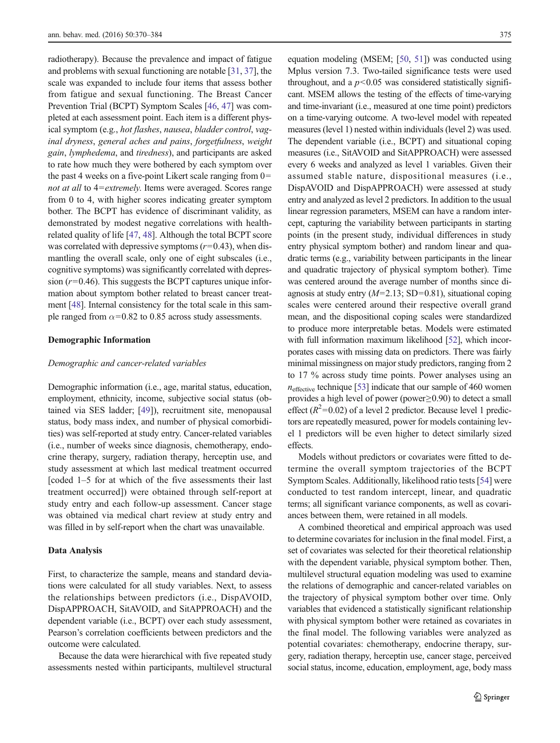radiotherapy). Because the prevalence and impact of fatigue and problems with sexual functioning are notable [[31](#page-13-0), [37\]](#page-13-0), the scale was expanded to include four items that assess bother from fatigue and sexual functioning. The Breast Cancer Prevention Trial (BCPT) Symptom Scales [[46,](#page-14-0) [47\]](#page-14-0) was completed at each assessment point. Each item is a different physical symptom (e.g., hot flashes, nausea, bladder control, vaginal dryness, general aches and pains, forgetfulness, weight gain, lymphedema, and tiredness), and participants are asked to rate how much they were bothered by each symptom over the past 4 weeks on a five-point Likert scale ranging from  $0=$ not at all to 4=extremely. Items were averaged. Scores range from 0 to 4, with higher scores indicating greater symptom bother. The BCPT has evidence of discriminant validity, as demonstrated by modest negative correlations with healthrelated quality of life [\[47](#page-14-0), [48\]](#page-14-0). Although the total BCPT score was correlated with depressive symptoms  $(r=0.43)$ , when dismantling the overall scale, only one of eight subscales (i.e., cognitive symptoms) was significantly correlated with depression  $(r=0.46)$ . This suggests the BCPT captures unique information about symptom bother related to breast cancer treatment [\[48\]](#page-14-0). Internal consistency for the total scale in this sample ranged from  $\alpha$ =0.82 to 0.85 across study assessments.

## Demographic Information

## Demographic and cancer-related variables

Demographic information (i.e., age, marital status, education, employment, ethnicity, income, subjective social status (obtained via SES ladder; [[49\]](#page-14-0)), recruitment site, menopausal status, body mass index, and number of physical comorbidities) was self-reported at study entry. Cancer-related variables (i.e., number of weeks since diagnosis, chemotherapy, endocrine therapy, surgery, radiation therapy, herceptin use, and study assessment at which last medical treatment occurred [coded 1–5 for at which of the five assessments their last treatment occurred]) were obtained through self-report at study entry and each follow-up assessment. Cancer stage was obtained via medical chart review at study entry and was filled in by self-report when the chart was unavailable.

## Data Analysis

First, to characterize the sample, means and standard deviations were calculated for all study variables. Next, to assess the relationships between predictors (i.e., DispAVOID, DispAPPROACH, SitAVOID, and SitAPPROACH) and the dependent variable (i.e., BCPT) over each study assessment, Pearson's correlation coefficients between predictors and the outcome were calculated.

Because the data were hierarchical with five repeated study assessments nested within participants, multilevel structural equation modeling (MSEM; [\[50,](#page-14-0) [51\]](#page-14-0)) was conducted using Mplus version 7.3. Two-tailed significance tests were used throughout, and a  $p<0.05$  was considered statistically significant. MSEM allows the testing of the effects of time-varying and time-invariant (i.e., measured at one time point) predictors on a time-varying outcome. A two-level model with repeated measures (level 1) nested within individuals (level 2) was used. The dependent variable (i.e., BCPT) and situational coping measures (i.e., SitAVOID and SitAPPROACH) were assessed every 6 weeks and analyzed as level 1 variables. Given their assumed stable nature, dispositional measures (i.e., DispAVOID and DispAPPROACH) were assessed at study entry and analyzed as level 2 predictors. In addition to the usual linear regression parameters, MSEM can have a random intercept, capturing the variability between participants in starting points (in the present study, individual differences in study entry physical symptom bother) and random linear and quadratic terms (e.g., variability between participants in the linear and quadratic trajectory of physical symptom bother). Time was centered around the average number of months since diagnosis at study entry  $(M=2.13; SD=0.81)$ , situational coping scales were centered around their respective overall grand mean, and the dispositional coping scales were standardized to produce more interpretable betas. Models were estimated with full information maximum likelihood [\[52\]](#page-14-0), which incorporates cases with missing data on predictors. There was fairly minimal missingness on major study predictors, ranging from 2 to 17 % across study time points. Power analyses using an  $n_{\text{effective}}$  technique [\[53](#page-14-0)] indicate that our sample of 460 women provides a high level of power (power≥0.90) to detect a small effect ( $R^2$ =0.02) of a level 2 predictor. Because level 1 predictors are repeatedly measured, power for models containing level 1 predictors will be even higher to detect similarly sized effects.

Models without predictors or covariates were fitted to determine the overall symptom trajectories of the BCPT Symptom Scales. Additionally, likelihood ratio tests [\[54](#page-14-0)] were conducted to test random intercept, linear, and quadratic terms; all significant variance components, as well as covariances between them, were retained in all models.

A combined theoretical and empirical approach was used to determine covariates for inclusion in the final model. First, a set of covariates was selected for their theoretical relationship with the dependent variable, physical symptom bother. Then, multilevel structural equation modeling was used to examine the relations of demographic and cancer-related variables on the trajectory of physical symptom bother over time. Only variables that evidenced a statistically significant relationship with physical symptom bother were retained as covariates in the final model. The following variables were analyzed as potential covariates: chemotherapy, endocrine therapy, surgery, radiation therapy, herceptin use, cancer stage, perceived social status, income, education, employment, age, body mass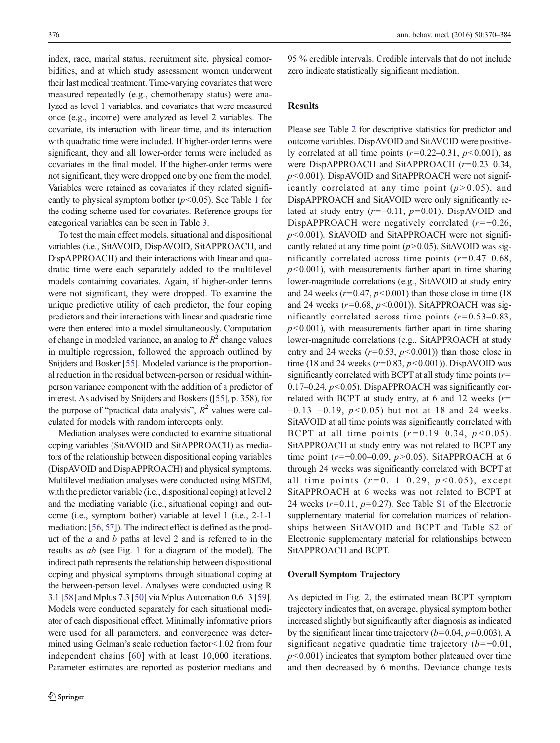index, race, marital status, recruitment site, physical comorbidities, and at which study assessment women underwent their last medical treatment. Time-varying covariates that were measured repeatedly (e.g., chemotherapy status) were analyzed as level 1 variables, and covariates that were measured once (e.g., income) were analyzed as level 2 variables. The covariate, its interaction with linear time, and its interaction with quadratic time were included. If higher-order terms were significant, they and all lower-order terms were included as covariates in the final model. If the higher-order terms were not significant, they were dropped one by one from the model. Variables were retained as covariates if they related significantly to physical symptom bother  $(p<0.05)$ . See Table [1](#page-3-0) for the coding scheme used for covariates. Reference groups for categorical variables can be seen in Table [3](#page-9-0).

To test the main effect models, situational and dispositional variables (i.e., SitAVOID, DispAVOID, SitAPPROACH, and DispAPPROACH) and their interactions with linear and quadratic time were each separately added to the multilevel models containing covariates. Again, if higher-order terms were not significant, they were dropped. To examine the unique predictive utility of each predictor, the four coping predictors and their interactions with linear and quadratic time were then entered into a model simultaneously. Computation of change in modeled variance, an analog to  $R^2$  change values in multiple regression, followed the approach outlined by Snijders and Bosker [[55](#page-14-0)]. Modeled variance is the proportional reduction in the residual between-person or residual withinperson variance component with the addition of a predictor of interest. As advised by Snijders and Boskers ([\[55\]](#page-14-0), p. 358), for the purpose of "practical data analysis",  $R^2$  values were calculated for models with random intercepts only.

Mediation analyses were conducted to examine situational coping variables (SitAVOID and SitAPPROACH) as mediators of the relationship between dispositional coping variables (DispAVOID and DispAPPROACH) and physical symptoms. Multilevel mediation analyses were conducted using MSEM, with the predictor variable (i.e., dispositional coping) at level 2 and the mediating variable (i.e., situational coping) and outcome (i.e., symptom bother) variable at level 1 (i.e., 2-1-1 mediation; [[56](#page-14-0), [57\]](#page-14-0)). The indirect effect is defined as the product of the  $a$  and  $b$  paths at level 2 and is referred to in the results as ab (see Fig. [1](#page-7-0) for a diagram of the model). The indirect path represents the relationship between dispositional coping and physical symptoms through situational coping at the between-person level. Analyses were conducted using R 3.1 [\[58](#page-14-0)] and Mplus 7.3 [\[50\]](#page-14-0) via Mplus Automation 0.6–3 [[59\]](#page-14-0). Models were conducted separately for each situational mediator of each dispositional effect. Minimally informative priors were used for all parameters, and convergence was determined using Gelman's scale reduction factor<1.02 from four independent chains [[60](#page-14-0)] with at least 10,000 iterations. Parameter estimates are reported as posterior medians and 95 % credible intervals. Credible intervals that do not include zero indicate statistically significant mediation.

# Results

Please see Table [2](#page-7-0) for descriptive statistics for predictor and outcome variables. DispAVOID and SitAVOID were positively correlated at all time points  $(r=0.22-0.31, p<0.001)$ , as were DispAPPROACH and SitAPPROACH  $(r=0.23-0.34,$  $p$ <0.001). DispAVOID and SitAPPROACH were not significantly correlated at any time point  $(p > 0.05)$ , and DispAPPROACH and SitAVOID were only significantly related at study entry ( $r=-0.11$ ,  $p=0.01$ ). DispAVOID and DispAPPROACH were negatively correlated (r=−0.26,  $p$ <0.001). SitAVOID and SitAPPROACH were not significantly related at any time point  $(p>0.05)$ . SitAVOID was significantly correlated across time points  $(r=0.47-0.68)$ ,  $p<0.001$ ), with measurements farther apart in time sharing lower-magnitude correlations (e.g., SitAVOID at study entry and 24 weeks  $(r=0.47, p<0.001)$  than those close in time (18) and 24 weeks ( $r=0.68$ ,  $p<0.001$ )). SitAPPROACH was significantly correlated across time points  $(r=0.53-0.83)$ ,  $p<0.001$ ), with measurements farther apart in time sharing lower-magnitude correlations (e.g., SitAPPROACH at study entry and 24 weeks  $(r=0.53, p<0.001)$  than those close in time (18 and 24 weeks ( $r=0.83$ ,  $p<0.001$ )). DispAVOID was significantly correlated with BCPT at all study time points  $(r=$ 0.17–0.24,  $p$ <0.05). DispAPPROACH was significantly correlated with BCPT at study entry, at 6 and 12 weeks ( $r=$  $-0.13-0.19$ ,  $p < 0.05$ ) but not at 18 and 24 weeks. SitAVOID at all time points was significantly correlated with BCPT at all time points  $(r=0.19-0.34, p<0.05)$ . SitAPPROACH at study entry was not related to BCPT any time point ( $r=-0.00-0.09$ ,  $p>0.05$ ). SitAPPROACH at 6 through 24 weeks was significantly correlated with BCPT at all time points  $(r=0.11-0.29, p<0.05)$ , except SitAPPROACH at 6 weeks was not related to BCPT at 24 weeks  $(r=0.11, p=0.27)$ . See Table S1 of the Electronic supplementary material for correlation matrices of relationships between SitAVOID and BCPT and Table S2 of Electronic supplementary material for relationships between SitAPPROACH and BCPT.

## Overall Symptom Trajectory

As depicted in Fig. [2,](#page-8-0) the estimated mean BCPT symptom trajectory indicates that, on average, physical symptom bother increased slightly but significantly after diagnosis as indicated by the significant linear time trajectory ( $b=0.04$ ,  $p=0.003$ ). A significant negative quadratic time trajectory  $(b=-0.01,$  $p<0.001$ ) indicates that symptom bother plateaued over time and then decreased by 6 months. Deviance change tests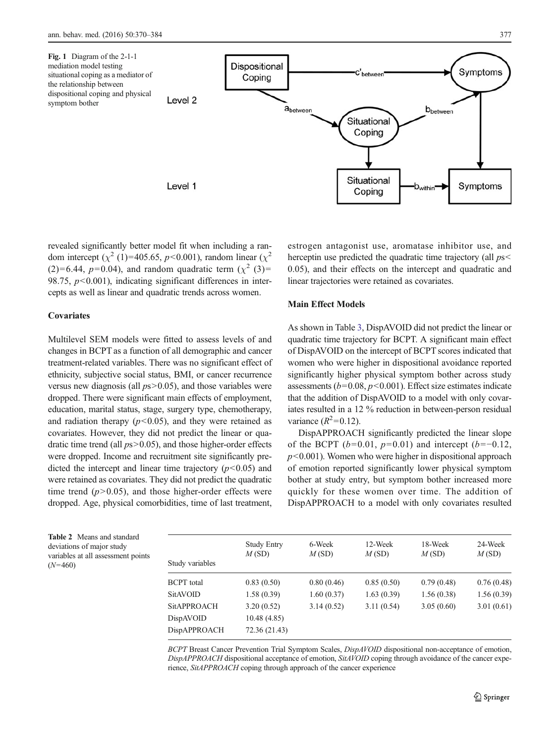<span id="page-7-0"></span>

revealed significantly better model fit when including a random intercept ( $\chi^2$  (1)=405.65, p<0.001), random linear ( $\chi^2$ )  $(2)=6.44$ ,  $p=0.04$ ), and random quadratic term  $(\chi^2(3))=$ 98.75,  $p<0.001$ ), indicating significant differences in intercepts as well as linear and quadratic trends across women.

# Covariates

Multilevel SEM models were fitted to assess levels of and changes in BCPT as a function of all demographic and cancer treatment-related variables. There was no significant effect of ethnicity, subjective social status, BMI, or cancer recurrence versus new diagnosis (all  $ps > 0.05$ ), and those variables were dropped. There were significant main effects of employment, education, marital status, stage, surgery type, chemotherapy, and radiation therapy  $(p<0.05)$ , and they were retained as covariates. However, they did not predict the linear or quadratic time trend (all  $ps > 0.05$ ), and those higher-order effects were dropped. Income and recruitment site significantly predicted the intercept and linear time trajectory  $(p<0.05)$  and were retained as covariates. They did not predict the quadratic time trend  $(p>0.05)$ , and those higher-order effects were dropped. Age, physical comorbidities, time of last treatment,

estrogen antagonist use, aromatase inhibitor use, and herceptin use predicted the quadratic time trajectory (all  $ps$ 0.05), and their effects on the intercept and quadratic and linear trajectories were retained as covariates.

## Main Effect Models

As shown in Table [3,](#page-9-0) DispAVOID did not predict the linear or quadratic time trajectory for BCPT. A significant main effect of DispAVOID on the intercept of BCPT scores indicated that women who were higher in dispositional avoidance reported significantly higher physical symptom bother across study assessments ( $b=0.08$ ,  $p<0.001$ ). Effect size estimates indicate that the addition of DispAVOID to a model with only covariates resulted in a 12 % reduction in between-person residual variance  $(R^2=0.12)$ .

DispAPPROACH significantly predicted the linear slope of the BCPT ( $b=0.01$ ,  $p=0.01$ ) and intercept ( $b=-0.12$ ,  $p<0.001$ ). Women who were higher in dispositional approach of emotion reported significantly lower physical symptom bother at study entry, but symptom bother increased more quickly for these women over time. The addition of DispAPPROACH to a model with only covariates resulted

|           | <b>Table 2</b> Means and standard  |
|-----------|------------------------------------|
|           | deviations of major study          |
|           | variables at all assessment points |
| $(N=460)$ |                                    |

| Study variables    | <b>Study Entry</b><br>M(SD) | 6-Week<br>M(SD) | 12-Week<br>M(SD) | 18-Week<br>M(SD) | 24-Week<br>M(SD) |
|--------------------|-----------------------------|-----------------|------------------|------------------|------------------|
| <b>BCPT</b> total  | 0.83(0.50)                  | 0.80(0.46)      | 0.85(0.50)       | 0.79(0.48)       | 0.76(0.48)       |
| <b>SitAVOID</b>    | 1.58(0.39)                  | 1.60(0.37)      | 1.63(0.39)       | 1.56(0.38)       | 1.56(0.39)       |
| <b>SitAPPROACH</b> | 3.20(0.52)                  | 3.14(0.52)      | 3.11(0.54)       | 3.05(0.60)       | 3.01(0.61)       |
| DispAVOID          | 10.48(4.85)                 |                 |                  |                  |                  |
| DispAPPROACH       | 72.36 (21.43)               |                 |                  |                  |                  |

BCPT Breast Cancer Prevention Trial Symptom Scales, DispAVOID dispositional non-acceptance of emotion, DispAPPROACH dispositional acceptance of emotion, SitAVOID coping through avoidance of the cancer experience, SitAPPROACH coping through approach of the cancer experience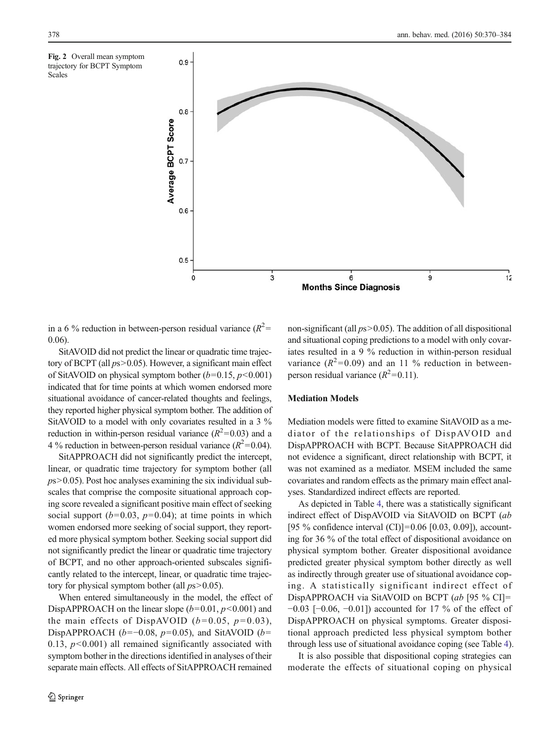<span id="page-8-0"></span>



in a 6 % reduction in between-person residual variance  $(R^2 =$ 0.06).

SitAVOID did not predict the linear or quadratic time trajectory of BCPT (all  $ps > 0.05$ ). However, a significant main effect of SitAVOID on physical symptom bother  $(b=0.15, p<0.001)$ indicated that for time points at which women endorsed more situational avoidance of cancer-related thoughts and feelings, they reported higher physical symptom bother. The addition of SitAVOID to a model with only covariates resulted in a 3 % reduction in within-person residual variance  $(R^2=0.03)$  and a 4 % reduction in between-person residual variance  $(R^2=0.04)$ .

SitAPPROACH did not significantly predict the intercept, linear, or quadratic time trajectory for symptom bother (all  $p$ s $> 0.05$ ). Post hoc analyses examining the six individual subscales that comprise the composite situational approach coping score revealed a significant positive main effect of seeking social support ( $b=0.03$ ,  $p=0.04$ ); at time points in which women endorsed more seeking of social support, they reported more physical symptom bother. Seeking social support did not significantly predict the linear or quadratic time trajectory of BCPT, and no other approach-oriented subscales significantly related to the intercept, linear, or quadratic time trajectory for physical symptom bother (all  $ps > 0.05$ ).

When entered simultaneously in the model, the effect of DispAPPROACH on the linear slope  $(b=0.01, p<0.001)$  and the main effects of DispAVOID ( $b=0.05$ ,  $p=0.03$ ), DispAPPROACH ( $b=-0.08$ ,  $p=0.05$ ), and SitAVOID ( $b=$ 0.13,  $p<0.001$ ) all remained significantly associated with symptom bother in the directions identified in analyses of their separate main effects. All effects of SitAPPROACH remained non-significant (all  $ps > 0.05$ ). The addition of all dispositional and situational coping predictions to a model with only covariates resulted in a 9 % reduction in within-person residual variance  $(R^2=0.09)$  and an 11 % reduction in betweenperson residual variance  $(R^2=0.11)$ .

# Mediation Models

Mediation models were fitted to examine SitAVOID as a mediator of the relationships of DispAVOID and DispAPPROACH with BCPT. Because SitAPPROACH did not evidence a significant, direct relationship with BCPT, it was not examined as a mediator. MSEM included the same covariates and random effects as the primary main effect analyses. Standardized indirect effects are reported.

As depicted in Table [4,](#page-11-0) there was a statistically significant indirect effect of DispAVOID via SitAVOID on BCPT (ab [95 % confidence interval (CI)]= $0.06$  [0.03, 0.09]), accounting for 36 % of the total effect of dispositional avoidance on physical symptom bother. Greater dispositional avoidance predicted greater physical symptom bother directly as well as indirectly through greater use of situational avoidance coping. A statistically significant indirect effect of DispAPPROACH via SitAVOID on BCPT (ab [95 % CI]= −0.03 [−0.06, −0.01]) accounted for 17 % of the effect of DispAPPROACH on physical symptoms. Greater dispositional approach predicted less physical symptom bother through less use of situational avoidance coping (see Table [4](#page-11-0)).

It is also possible that dispositional coping strategies can moderate the effects of situational coping on physical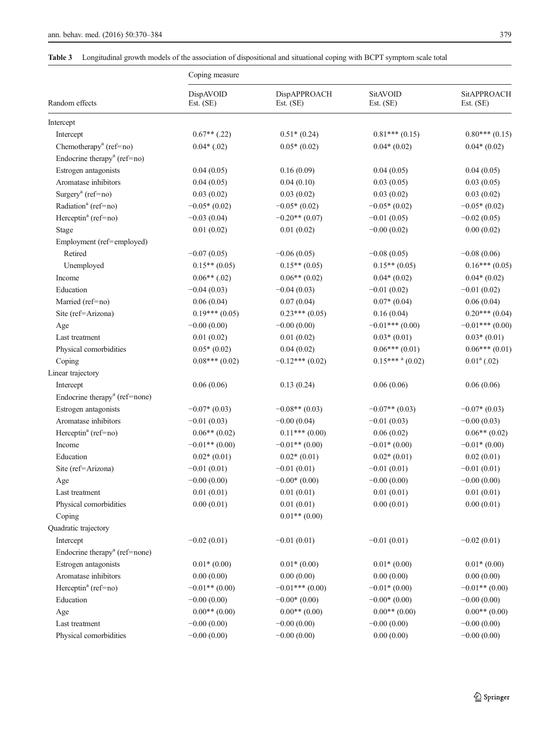# <span id="page-9-0"></span>Table 3 Longitudinal growth models of the association of dispositional and situational coping with BCPT symptom scale total

|                                           | Coping measure         |                           |                               |                          |  |
|-------------------------------------------|------------------------|---------------------------|-------------------------------|--------------------------|--|
| Random effects                            | DispAVOID<br>Est. (SE) | DispAPPROACH<br>Est. (SE) | SitAVOID<br>Est. $(SE)$       | SitAPPROACH<br>Est. (SE) |  |
| Intercept                                 |                        |                           |                               |                          |  |
| Intercept                                 | $0.67**$ (.22)         | $0.51*(0.24)$             | $0.81***(0.15)$               | $0.80***(0.15)$          |  |
| Chemotherapy <sup>a</sup> (ref=no)        | $0.04*(.02)$           | $0.05*(0.02)$             | $0.04*(0.02)$                 | $0.04*(0.02)$            |  |
| Endocrine therapy <sup>a</sup> (ref=no)   |                        |                           |                               |                          |  |
| Estrogen antagonists                      | 0.04(0.05)             | 0.16(0.09)                | 0.04(0.05)                    | 0.04(0.05)               |  |
| Aromatase inhibitors                      | 0.04(0.05)             | 0.04(0.10)                | 0.03(0.05)                    | 0.03(0.05)               |  |
| Surgery <sup>a</sup> (ref=no)             | 0.03(0.02)             | 0.03(0.02)                | 0.03(0.02)                    | 0.03(0.02)               |  |
| Radiation <sup>a</sup> (ref=no)           | $-0.05*(0.02)$         | $-0.05*(0.02)$            | $-0.05*(0.02)$                | $-0.05*(0.02)$           |  |
| Herceptin <sup>a</sup> (ref=no)           | $-0.03(0.04)$          | $-0.20**$ (0.07)          | $-0.01(0.05)$                 | $-0.02(0.05)$            |  |
| <b>Stage</b>                              | 0.01(0.02)             | 0.01(0.02)                | $-0.00(0.02)$                 | 0.00(0.02)               |  |
| Employment (ref=employed)                 |                        |                           |                               |                          |  |
| Retired                                   | $-0.07(0.05)$          | $-0.06(0.05)$             | $-0.08(0.05)$                 | $-0.08(0.06)$            |  |
| Unemployed                                | $0.15**$ (0.05)        | $0.15**$ (0.05)           | $0.15**$ (0.05)               | $0.16***(0.05)$          |  |
| Income                                    | $0.06**$ (.02)         | $0.06**$ (0.02)           | $0.04*(0.02)$                 | $0.04*(0.02)$            |  |
| Education                                 | $-0.04(0.03)$          | $-0.04(0.03)$             | $-0.01(0.02)$                 | $-0.01(0.02)$            |  |
| Married (ref=no)                          | 0.06(0.04)             | 0.07(0.04)                | $0.07*$ (0.04)                | 0.06(0.04)               |  |
| Site (ref=Arizona)                        | $0.19***(0.05)$        | $0.23***(0.05)$           | 0.16(0.04)                    | $0.20***(0.04)$          |  |
| Age                                       | $-0.00(0.00)$          | $-0.00(0.00)$             | $-0.01***(0.00)$              | $-0.01***(0.00)$         |  |
| Last treatment                            | 0.01(0.02)             | 0.01(0.02)                | $0.03*(0.01)$                 | $0.03*(0.01)$            |  |
| Physical comorbidities                    | $0.05*(0.02)$          | 0.04(0.02)                | $0.06***(0.01)$               | $0.06***(0.01)$          |  |
| Coping                                    | $0.08***(0.02)$        | $-0.12***(0.02)$          | $0.15***$ <sup>a</sup> (0.02) | $0.01^a$ (.02)           |  |
| Linear trajectory                         |                        |                           |                               |                          |  |
| Intercept                                 | 0.06(0.06)             | 0.13(0.24)                | 0.06(0.06)                    | 0.06(0.06)               |  |
| Endocrine therapy <sup>a</sup> (ref=none) |                        |                           |                               |                          |  |
| Estrogen antagonists                      | $-0.07*(0.03)$         | $-0.08**$ (0.03)          | $-0.07**$ (0.03)              | $-0.07*(0.03)$           |  |
| Aromatase inhibitors                      | $-0.01(0.03)$          | $-0.00(0.04)$             | $-0.01(0.03)$                 | $-0.00(0.03)$            |  |
| Herceptin <sup>a</sup> (ref=no)           | $0.06**$ (0.02)        | $0.11***(0.00)$           | 0.06(0.02)                    | $0.06**$ (0.02)          |  |
| Income                                    | $-0.01**$ (0.00)       | $-0.01**$ (0.00)          | $-0.01*(0.00)$                | $-0.01*(0.00)$           |  |
| Education                                 | $0.02*(0.01)$          | $0.02*(0.01)$             | $0.02*(0.01)$                 | 0.02(0.01)               |  |
| Site (ref=Arizona)                        | $-0.01(0.01)$          | $-0.01(0.01)$             | $-0.01(0.01)$                 | $-0.01(0.01)$            |  |
| Age                                       | $-0.00(0.00)$          | $-0.00*(0.00)$            | $-0.00(0.00)$                 | $-0.00(0.00)$            |  |
| Last treatment                            | 0.01(0.01)             | 0.01(0.01)                | 0.01(0.01)                    | 0.01(0.01)               |  |
| Physical comorbidities                    | 0.00(0.01)             | 0.01(0.01)                | 0.00(0.01)                    | 0.00(0.01)               |  |
| Coping                                    |                        | $0.01**$ (0.00)           |                               |                          |  |
| Quadratic trajectory                      |                        |                           |                               |                          |  |
| Intercept                                 | $-0.02(0.01)$          | $-0.01(0.01)$             | $-0.01(0.01)$                 | $-0.02(0.01)$            |  |
| Endocrine therapy <sup>a</sup> (ref=none) |                        |                           |                               |                          |  |
| Estrogen antagonists                      | $0.01*(0.00)$          | $0.01*(0.00)$             | $0.01*(0.00)$                 | $0.01*(0.00)$            |  |
| Aromatase inhibitors                      | 0.00(0.00)             | 0.00(0.00)                | 0.00(0.00)                    | 0.00(0.00)               |  |
| Herceptin <sup>a</sup> (ref=no)           | $-0.01**$ (0.00)       | $-0.01***(0.00)$          | $-0.01*(0.00)$                | $-0.01**$ (0.00)         |  |
| Education                                 | $-0.00(0.00)$          | $-0.00*(0.00)$            | $-0.00*(0.00)$                | $-0.00(0.00)$            |  |
| Age                                       | $0.00**$ (0.00)        | $0.00**$ (0.00)           | $0.00**$ (0.00)               | $0.00**$ (0.00)          |  |
| Last treatment                            | $-0.00(0.00)$          | $-0.00(0.00)$             | $-0.00(0.00)$                 | $-0.00(0.00)$            |  |
| Physical comorbidities                    | $-0.00(0.00)$          | $-0.00(0.00)$             | 0.00(0.00)                    | $-0.00(0.00)$            |  |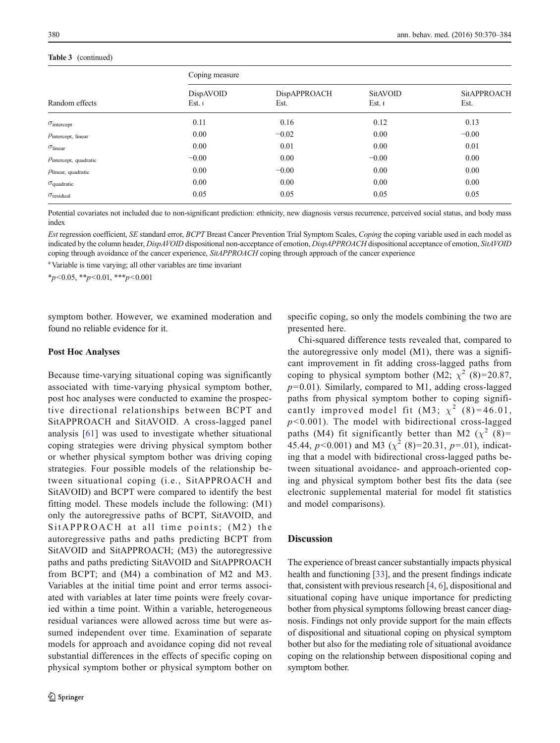# Table 3 (continued)

| Random effects                | Coping measure    |                      |                         |                            |  |
|-------------------------------|-------------------|----------------------|-------------------------|----------------------------|--|
|                               | DispAVOID<br>Est. | DispAPPROACH<br>Est. | <b>SitAVOID</b><br>Est. | <b>SitAPPROACH</b><br>Est. |  |
| $\sigma$ <sub>intercept</sub> | 0.11              | 0.16                 | 0.12                    | 0.13                       |  |
| $\rho$ intercept, linear      | 0.00              | $-0.02$              | 0.00                    | $-0.00$                    |  |
| $\sigma$ linear               | 0.00              | 0.01                 | 0.00                    | 0.01                       |  |
| $\beta$ intercept, quadratic  | $-0.00$           | 0.00                 | $-0.00$                 | 0.00                       |  |
| $\rho$ linear, quadratic      | 0.00              | $-0.00$              | 0.00                    | 0.00                       |  |
| $\sigma$ quadratic            | 0.00              | 0.00                 | 0.00                    | 0.00                       |  |
| $\sigma$ <sub>residual</sub>  | 0.05              | 0.05                 | 0.05                    | 0.05                       |  |

Potential covariates not included due to non-significant prediction: ethnicity, new diagnosis versus recurrence, perceived social status, and body mass index

Est regression coefficient, SE standard error, BCPT Breast Cancer Prevention Trial Symptom Scales, Coping the coping variable used in each model as indicated by the column header, DispAVOID dispositional non-acceptance of emotion, DispAPPROACH dispositional acceptance of emotion, SitAVOID coping through avoidance of the cancer experience, SitAPPROACH coping through approach of the cancer experience

<sup>a</sup> Variable is time varying; all other variables are time invariant

 $*_{p<0.05,}$   $*_{p<0.01,}$   $*_{p<0.001}$ 

symptom bother. However, we examined moderation and found no reliable evidence for it.

# Post Hoc Analyses

Because time-varying situational coping was significantly associated with time-varying physical symptom bother, post hoc analyses were conducted to examine the prospective directional relationships between BCPT and SitAPPROACH and SitAVOID. A cross-lagged panel analysis [[61](#page-14-0)] was used to investigate whether situational coping strategies were driving physical symptom bother or whether physical symptom bother was driving coping strategies. Four possible models of the relationship between situational coping (i.e., SitAPPROACH and SitAVOID) and BCPT were compared to identify the best fitting model. These models include the following: (M1) only the autoregressive paths of BCPT, SitAVOID, and SitAPPROACH at all time points; (M2) the autoregressive paths and paths predicting BCPT from SitAVOID and SitAPPROACH; (M3) the autoregressive paths and paths predicting SitAVOID and SitAPPROACH from BCPT; and (M4) a combination of M2 and M3. Variables at the initial time point and error terms associated with variables at later time points were freely covaried within a time point. Within a variable, heterogeneous residual variances were allowed across time but were assumed independent over time. Examination of separate models for approach and avoidance coping did not reveal substantial differences in the effects of specific coping on physical symptom bother or physical symptom bother on specific coping, so only the models combining the two are presented here.

Chi-squared difference tests revealed that, compared to the autoregressive only model (M1), there was a significant improvement in fit adding cross-lagged paths from coping to physical symptom bother (M2;  $\chi^2$  (8)=20.87,  $p=0.01$ ). Similarly, compared to M1, adding cross-lagged paths from physical symptom bother to coping significantly improved model fit (M3;  $\chi^2$  (8)=46.01,  $p$ <0.001). The model with bidirectional cross-lagged paths (M4) fit significantly better than M2 ( $\chi^2$  (8)= 45.44,  $p<0.001$ ) and M3 ( $\chi^2$  (8)=20.31,  $p=.01$ ), indicating that a model with bidirectional cross-lagged paths between situational avoidance- and approach-oriented coping and physical symptom bother best fits the data (see electronic supplemental material for model fit statistics and model comparisons).

# **Discussion**

The experience of breast cancer substantially impacts physical health and functioning [[33](#page-13-0)], and the present findings indicate that, consistent with previous research [\[4,](#page-13-0) [6](#page-13-0)], dispositional and situational coping have unique importance for predicting bother from physical symptoms following breast cancer diagnosis. Findings not only provide support for the main effects of dispositional and situational coping on physical symptom bother but also for the mediating role of situational avoidance coping on the relationship between dispositional coping and symptom bother.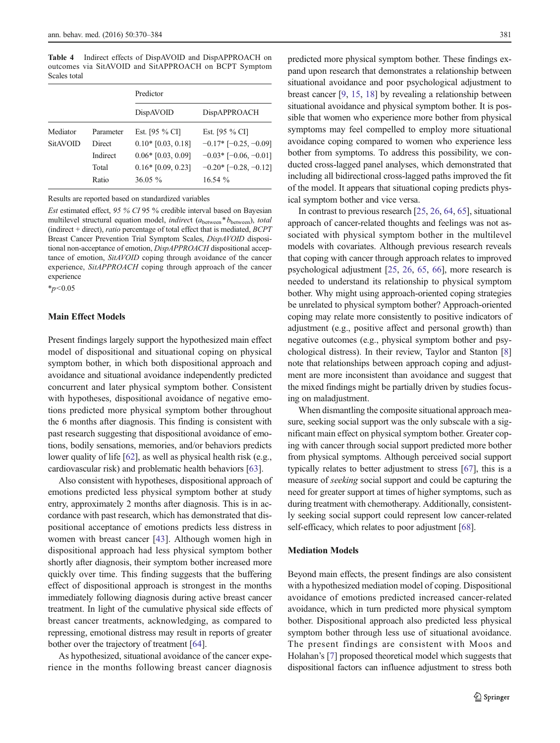<span id="page-11-0"></span>Table 4 Indirect effects of DispAVOID and DispAPPROACH on outcomes via SitAVOID and SitAPPROACH on BCPT Symptom Scales total

|                 |           | Predictor            |                              |
|-----------------|-----------|----------------------|------------------------------|
|                 |           | DispAVOID            | DispAPPROACH                 |
| Mediator        | Parameter | Est. [95 $% CI$ ]    | Est. [95 % CI]               |
| <b>SitAVOID</b> | Direct    | $0.10*$ [0.03, 0.18] | $-0.17$ * [ $-0.25, -0.09$ ] |
|                 | Indirect  | $0.06*$ [0.03, 0.09] | $-0.03*$ [ $-0.06, -0.01$ ]  |
|                 | Total     | $0.16*$ [0.09, 0.23] | $-0.20*$ [ $-0.28, -0.12$ ]  |
|                 | Ratio     | $36.05\%$            | 16.54%                       |
|                 |           |                      |                              |

Results are reported based on standardized variables

Est estimated effect, 95 % CI 95 % credible interval based on Bayesian multilevel structural equation model, *indirect* ( $a<sub>between</sub> * b<sub>between</sub>$ ), *total* (indirect  $+$  direct), ratio percentage of total effect that is mediated,  $BCPT$ Breast Cancer Prevention Trial Symptom Scales, DispAVOID dispositional non-acceptance of emotion, DispAPPROACH dispositional acceptance of emotion, SitAVOID coping through avoidance of the cancer experience, SitAPPROACH coping through approach of the cancer experience

 $*_{p<0.05}$ 

# Main Effect Models

Present findings largely support the hypothesized main effect model of dispositional and situational coping on physical symptom bother, in which both dispositional approach and avoidance and situational avoidance independently predicted concurrent and later physical symptom bother. Consistent with hypotheses, dispositional avoidance of negative emotions predicted more physical symptom bother throughout the 6 months after diagnosis. This finding is consistent with past research suggesting that dispositional avoidance of emotions, bodily sensations, memories, and/or behaviors predicts lower quality of life [[62](#page-14-0)], as well as physical health risk (e.g., cardiovascular risk) and problematic health behaviors [\[63\]](#page-14-0).

Also consistent with hypotheses, dispositional approach of emotions predicted less physical symptom bother at study entry, approximately 2 months after diagnosis. This is in accordance with past research, which has demonstrated that dispositional acceptance of emotions predicts less distress in women with breast cancer [[43\]](#page-13-0). Although women high in dispositional approach had less physical symptom bother shortly after diagnosis, their symptom bother increased more quickly over time. This finding suggests that the buffering effect of dispositional approach is strongest in the months immediately following diagnosis during active breast cancer treatment. In light of the cumulative physical side effects of breast cancer treatments, acknowledging, as compared to repressing, emotional distress may result in reports of greater bother over the trajectory of treatment [[64\]](#page-14-0).

As hypothesized, situational avoidance of the cancer experience in the months following breast cancer diagnosis predicted more physical symptom bother. These findings expand upon research that demonstrates a relationship between situational avoidance and poor psychological adjustment to breast cancer [\[9](#page-13-0), [15](#page-13-0), [18](#page-13-0)] by revealing a relationship between situational avoidance and physical symptom bother. It is possible that women who experience more bother from physical symptoms may feel compelled to employ more situational avoidance coping compared to women who experience less bother from symptoms. To address this possibility, we conducted cross-lagged panel analyses, which demonstrated that including all bidirectional cross-lagged paths improved the fit of the model. It appears that situational coping predicts physical symptom bother and vice versa.

In contrast to previous research [\[25](#page-13-0), [26](#page-13-0), [64,](#page-14-0) [65](#page-14-0)], situational approach of cancer-related thoughts and feelings was not associated with physical symptom bother in the multilevel models with covariates. Although previous research reveals that coping with cancer through approach relates to improved psychological adjustment [[25](#page-13-0), [26](#page-13-0), [65,](#page-14-0) [66\]](#page-14-0), more research is needed to understand its relationship to physical symptom bother. Why might using approach-oriented coping strategies be unrelated to physical symptom bother? Approach-oriented coping may relate more consistently to positive indicators of adjustment (e.g., positive affect and personal growth) than negative outcomes (e.g., physical symptom bother and psychological distress). In their review, Taylor and Stanton [\[8](#page-13-0)] note that relationships between approach coping and adjustment are more inconsistent than avoidance and suggest that the mixed findings might be partially driven by studies focusing on maladjustment.

When dismantling the composite situational approach measure, seeking social support was the only subscale with a significant main effect on physical symptom bother. Greater coping with cancer through social support predicted more bother from physical symptoms. Although perceived social support typically relates to better adjustment to stress [[67](#page-14-0)], this is a measure of seeking social support and could be capturing the need for greater support at times of higher symptoms, such as during treatment with chemotherapy. Additionally, consistently seeking social support could represent low cancer-related self-efficacy, which relates to poor adjustment [\[68\]](#page-14-0).

## Mediation Models

Beyond main effects, the present findings are also consistent with a hypothesized mediation model of coping. Dispositional avoidance of emotions predicted increased cancer-related avoidance, which in turn predicted more physical symptom bother. Dispositional approach also predicted less physical symptom bother through less use of situational avoidance. The present findings are consistent with Moos and Holahan's [[7\]](#page-13-0) proposed theoretical model which suggests that dispositional factors can influence adjustment to stress both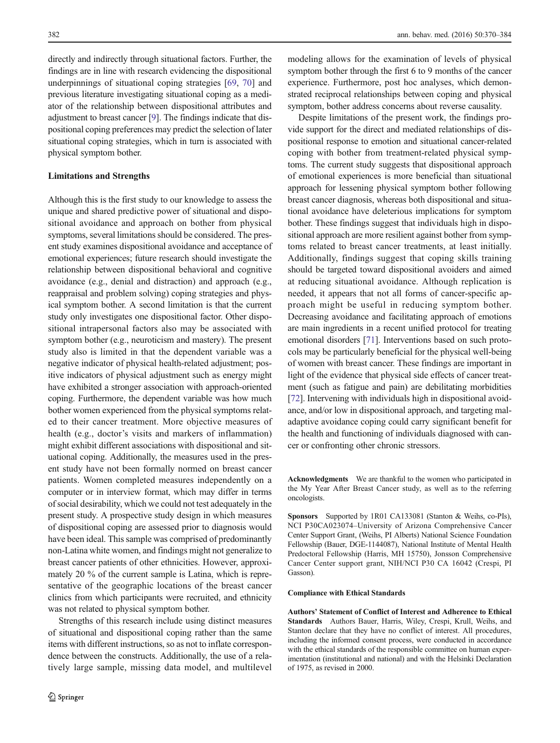directly and indirectly through situational factors. Further, the findings are in line with research evidencing the dispositional underpinnings of situational coping strategies [[69,](#page-14-0) [70\]](#page-14-0) and previous literature investigating situational coping as a mediator of the relationship between dispositional attributes and adjustment to breast cancer [\[9](#page-13-0)]. The findings indicate that dispositional coping preferences may predict the selection of later situational coping strategies, which in turn is associated with physical symptom bother.

## Limitations and Strengths

Although this is the first study to our knowledge to assess the unique and shared predictive power of situational and dispositional avoidance and approach on bother from physical symptoms, several limitations should be considered. The present study examines dispositional avoidance and acceptance of emotional experiences; future research should investigate the relationship between dispositional behavioral and cognitive avoidance (e.g., denial and distraction) and approach (e.g., reappraisal and problem solving) coping strategies and physical symptom bother. A second limitation is that the current study only investigates one dispositional factor. Other dispositional intrapersonal factors also may be associated with symptom bother (e.g., neuroticism and mastery). The present study also is limited in that the dependent variable was a negative indicator of physical health-related adjustment; positive indicators of physical adjustment such as energy might have exhibited a stronger association with approach-oriented coping. Furthermore, the dependent variable was how much bother women experienced from the physical symptoms related to their cancer treatment. More objective measures of health (e.g., doctor's visits and markers of inflammation) might exhibit different associations with dispositional and situational coping. Additionally, the measures used in the present study have not been formally normed on breast cancer patients. Women completed measures independently on a computer or in interview format, which may differ in terms of social desirability, which we could not test adequately in the present study. A prospective study design in which measures of dispositional coping are assessed prior to diagnosis would have been ideal. This sample was comprised of predominantly non-Latina white women, and findings might not generalize to breast cancer patients of other ethnicities. However, approximately 20 % of the current sample is Latina, which is representative of the geographic locations of the breast cancer clinics from which participants were recruited, and ethnicity was not related to physical symptom bother.

Strengths of this research include using distinct measures of situational and dispositional coping rather than the same items with different instructions, so as not to inflate correspondence between the constructs. Additionally, the use of a relatively large sample, missing data model, and multilevel

modeling allows for the examination of levels of physical symptom bother through the first 6 to 9 months of the cancer experience. Furthermore, post hoc analyses, which demonstrated reciprocal relationships between coping and physical symptom, bother address concerns about reverse causality.

Despite limitations of the present work, the findings provide support for the direct and mediated relationships of dispositional response to emotion and situational cancer-related coping with bother from treatment-related physical symptoms. The current study suggests that dispositional approach of emotional experiences is more beneficial than situational approach for lessening physical symptom bother following breast cancer diagnosis, whereas both dispositional and situational avoidance have deleterious implications for symptom bother. These findings suggest that individuals high in dispositional approach are more resilient against bother from symptoms related to breast cancer treatments, at least initially. Additionally, findings suggest that coping skills training should be targeted toward dispositional avoiders and aimed at reducing situational avoidance. Although replication is needed, it appears that not all forms of cancer-specific approach might be useful in reducing symptom bother. Decreasing avoidance and facilitating approach of emotions are main ingredients in a recent unified protocol for treating emotional disorders [\[71](#page-14-0)]. Interventions based on such protocols may be particularly beneficial for the physical well-being of women with breast cancer. These findings are important in light of the evidence that physical side effects of cancer treatment (such as fatigue and pain) are debilitating morbidities [\[72](#page-14-0)]. Intervening with individuals high in dispositional avoidance, and/or low in dispositional approach, and targeting maladaptive avoidance coping could carry significant benefit for the health and functioning of individuals diagnosed with cancer or confronting other chronic stressors.

Acknowledgments We are thankful to the women who participated in the My Year After Breast Cancer study, as well as to the referring oncologists.

Sponsors Supported by 1R01 CA133081 (Stanton & Weihs, co-PIs), NCI P30CA023074–University of Arizona Comprehensive Cancer Center Support Grant, (Weihs, PI Alberts) National Science Foundation Fellowship (Bauer, DGE-1144087), National Institute of Mental Health Predoctoral Fellowship (Harris, MH 15750), Jonsson Comprehensive Cancer Center support grant, NIH/NCI P30 CA 16042 (Crespi, PI Gasson).

### Compliance with Ethical Standards

Authors' Statement of Conflict of Interest and Adherence to Ethical Standards Authors Bauer, Harris, Wiley, Crespi, Krull, Weihs, and Stanton declare that they have no conflict of interest. All procedures, including the informed consent process, were conducted in accordance with the ethical standards of the responsible committee on human experimentation (institutional and national) and with the Helsinki Declaration of 1975, as revised in 2000.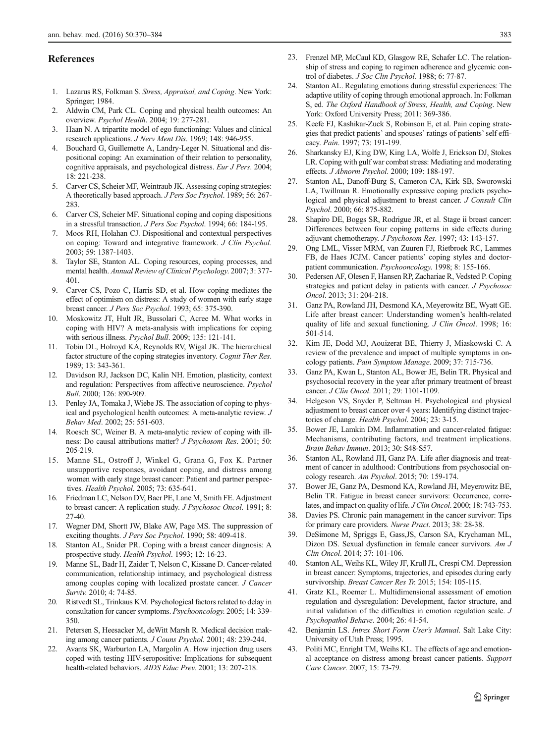## <span id="page-13-0"></span>References

- 1. Lazarus RS, Folkman S. Stress, Appraisal, and Coping. New York: Springer; 1984.
- 2. Aldwin CM, Park CL. Coping and physical health outcomes: An overview. Psychol Health. 2004; 19: 277-281.
- 3. Haan N. A tripartite model of ego functioning: Values and clinical research applications. J Nerv Ment Dis. 1969; 148: 946-955.
- 4. Bouchard G, Guillemette A, Landry-Leger N. Situational and dispositional coping: An examination of their relation to personality, cognitive appraisals, and psychological distress. Eur J Pers. 2004; 18: 221-238.
- 5. Carver CS, Scheier MF, Weintraub JK. Assessing coping strategies: A theoretically based approach. J Pers Soc Psychol. 1989; 56: 267- 283.
- 6. Carver CS, Scheier MF. Situational coping and coping dispositions in a stressful transaction. J Pers Soc Psychol. 1994; 66: 184-195.
- 7. Moos RH, Holahan CJ. Dispositional and contextual perspectives on coping: Toward and integrative framework. J Clin Psychol. 2003; 59: 1387-1403.
- Taylor SE, Stanton AL. Coping resources, coping processes, and mental health. Annual Review of Clinical Psychology. 2007; 3: 377- 401.
- 9. Carver CS, Pozo C, Harris SD, et al. How coping mediates the effect of optimism on distress: A study of women with early stage breast cancer. J Pers Soc Psychol. 1993; 65: 375-390.
- 10. Moskowitz JT, Hult JR, Bussolari C, Acree M. What works in coping with HIV? A meta-analysis with implications for coping with serious illness. Psychol Bull. 2009; 135: 121-141.
- 11. Tobin DL, Holroyd KA, Reynolds RV, Wigal JK. The hierarchical factor structure of the coping strategies inventory. Cognit Ther Res. 1989; 13: 343-361.
- 12. Davidson RJ, Jackson DC, Kalin NH. Emotion, plasticity, context and regulation: Perspectives from affective neuroscience. Psychol Bull. 2000; 126: 890-909.
- 13. Penley JA, Tomaka J, Wiebe JS. The association of coping to physical and psychological health outcomes: A meta-analytic review. J Behav Med. 2002; 25: 551-603.
- 14. Roesch SC, Weiner B. A meta-analytic review of coping with illness: Do causal attributions matter? J Psychosom Res. 2001; 50: 205-219.
- 15. Manne SL, Ostroff J, Winkel G, Grana G, Fox K. Partner unsupportive responses, avoidant coping, and distress among women with early stage breast cancer: Patient and partner perspectives. Health Psychol. 2005; 73: 635-641.
- 16. Friedman LC, Nelson DV, Baer PE, Lane M, Smith FE. Adjustment to breast cancer: A replication study. J Psychosoc Oncol. 1991; 8: 27-40.
- 17. Wegner DM, Shortt JW, Blake AW, Page MS. The suppression of exciting thoughts. J Pers Soc Psychol. 1990; 58: 409-418.
- 18. Stanton AL, Snider PR. Coping with a breast cancer diagnosis: A prospective study. Health Psychol. 1993; 12: 16-23.
- 19. Manne SL, Badr H, Zaider T, Nelson C, Kissane D. Cancer-related communication, relationship intimacy, and psychological distress among couples coping with localized prostate cancer. J Cancer Surviv. 2010; 4: 74-85.
- 20. Ristvedt SL, Trinkaus KM. Psychological factors related to delay in consultation for cancer symptoms. Psychooncology. 2005; 14: 339- 350.
- 21. Petersen S, Heesacker M, deWitt Marsh R. Medical decision making among cancer patients. J Couns Psychol. 2001; 48: 239-244.
- 22. Avants SK, Warburton LA, Margolin A. How injection drug users coped with testing HIV-seropositive: Implications for subsequent health-related behaviors. AIDS Educ Prev. 2001; 13: 207-218.
- 23. Frenzel MP, McCaul KD, Glasgow RE, Schafer LC. The relationship of stress and coping to regimen adherence and glycemic control of diabetes. J Soc Clin Psychol. 1988; 6: 77-87.
- Stanton AL. Regulating emotions during stressful experiences: The adaptive utility of coping through emotional approach. In: Folkman S, ed. The Oxford Handbook of Stress, Health, and Coping. New York: Oxford University Press; 2011: 369-386.
- 25. Keefe FJ, Kashikar-Zuck S, Robinson E, et al. Pain coping strategies that predict patients' and spouses' ratings of patients' self efficacy. Pain. 1997; 73: 191-199.
- 26. Sharkansky EJ, King DW, King LA, Wolfe J, Erickson DJ, Stokes LR. Coping with gulf war combat stress: Mediating and moderating effects. J Abnorm Psychol. 2000; 109: 188-197.
- 27. Stanton AL, Danoff-Burg S, Cameron CA, Kirk SB, Sworowski LA, Twillman R. Emotionally expressive coping predicts psychological and physical adjustment to breast cancer. J Consult Clin Psychol. 2000; 66: 875-882.
- 28. Shapiro DE, Boggs SR, Rodrigue JR, et al. Stage ii breast cancer: Differences between four coping patterns in side effects during adjuvant chemotherapy. J Psychosom Res. 1997; 43: 143-157.
- 29. Ong LML, Visser MRM, van Zuuren FJ, Rietbroek RC, Lammes FB, de Haes JCJM. Cancer patients' coping styles and doctorpatient communication. Psychooncology. 1998; 8: 155-166.
- 30. Pedersen AF, Olesen F, Hansen RP, Zachariae R, Vedsted P. Coping strategies and patient delay in patients with cancer. J Psychosoc Oncol. 2013; 31: 204-218.
- 31. Ganz PA, Rowland JH, Desmond KA, Meyerowitz BE, Wyatt GE. Life after breast cancer: Understanding women's health-related quality of life and sexual functioning. J Clin Oncol. 1998; 16: 501-514.
- 32. Kim JE, Dodd MJ, Aouizerat BE, Thierry J, Miaskowski C. A review of the prevalence and impact of multiple symptoms in oncology patients. Pain Symptom Manage. 2009; 37: 715-736.
- 33. Ganz PA, Kwan L, Stanton AL, Bower JE, Belin TR. Physical and psychosocial recovery in the year after primary treatment of breast cancer. J Clin Oncol. 2011; 29: 1101-1109.
- 34. Helgeson VS, Snyder P, Seltman H. Psychological and physical adjustment to breast cancer over 4 years: Identifying distinct trajectories of change. Health Psychol. 2004; 23: 3-15.
- 35. Bower JE, Lamkin DM. Inflammation and cancer-related fatigue: Mechanisms, contributing factors, and treatment implications. Brain Behav Immun. 2013; 30: S48-S57.
- 36. Stanton AL, Rowland JH, Ganz PA. Life after diagnosis and treatment of cancer in adulthood: Contributions from psychosocial oncology research. Am Psychol. 2015; 70: 159-174.
- 37. Bower JE, Ganz PA, Desmond KA, Rowland JH, Meyerowitz BE, Belin TR. Fatigue in breast cancer survivors: Occurrence, correlates, and impact on quality of life. J Clin Oncol. 2000; 18: 743-753.
- 38. Davies PS. Chronic pain management in the cancer survivor: Tips for primary care providers. Nurse Pract. 2013; 38: 28-38.
- 39. DeSimone M, Spriggs E, Gass,JS, Carson SA, Krychaman ML, Dizon DS. Sexual dysfunction in female cancer survivors. Am J Clin Oncol. 2014; 37: 101-106.
- 40. Stanton AL, Weihs KL, Wiley JF, Krull JL, Crespi CM. Depression in breast cancer: Symptoms, trajectories, and episodes during early survivorship. Breast Cancer Res Tr. 2015; 154: 105-115.
- 41. Gratz KL, Roemer L. Multidimensional assessment of emotion regulation and dysregulation: Development, factor structure, and initial validation of the difficulties in emotion regulation scale. J Psychopathol Behave. 2004; 26: 41-54.
- 42. Benjamin LS. Intrex Short Form User's Manual. Salt Lake City: University of Utah Press; 1995.
- 43. Politi MC, Enright TM, Weihs KL. The effects of age and emotional acceptance on distress among breast cancer patients. Support Care Cancer. 2007; 15: 73-79.